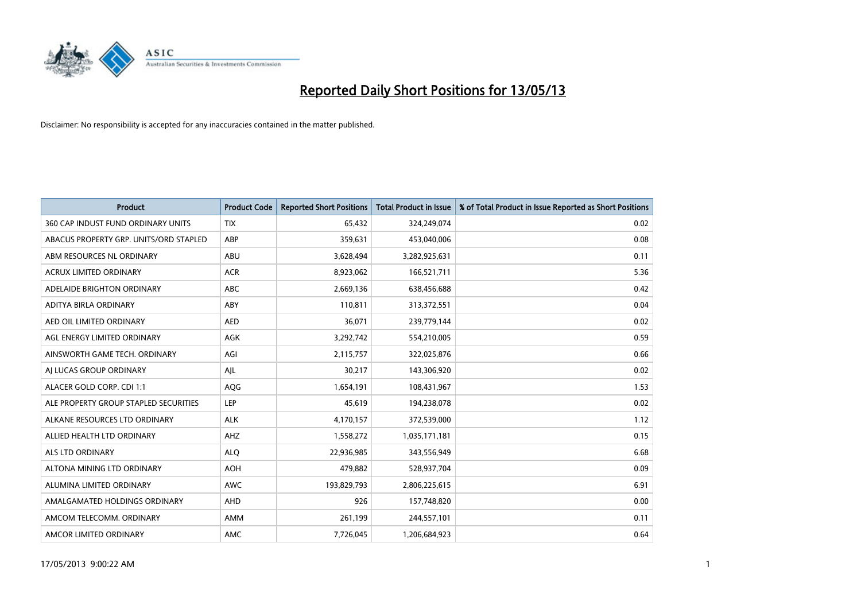

| <b>Product</b>                         | <b>Product Code</b> | <b>Reported Short Positions</b> | <b>Total Product in Issue</b> | % of Total Product in Issue Reported as Short Positions |
|----------------------------------------|---------------------|---------------------------------|-------------------------------|---------------------------------------------------------|
| 360 CAP INDUST FUND ORDINARY UNITS     | <b>TIX</b>          | 65.432                          | 324,249,074                   | 0.02                                                    |
| ABACUS PROPERTY GRP. UNITS/ORD STAPLED | ABP                 | 359,631                         | 453,040,006                   | 0.08                                                    |
| ABM RESOURCES NL ORDINARY              | <b>ABU</b>          | 3,628,494                       | 3,282,925,631                 | 0.11                                                    |
| ACRUX LIMITED ORDINARY                 | <b>ACR</b>          | 8,923,062                       | 166,521,711                   | 5.36                                                    |
| ADELAIDE BRIGHTON ORDINARY             | <b>ABC</b>          | 2,669,136                       | 638,456,688                   | 0.42                                                    |
| ADITYA BIRLA ORDINARY                  | ABY                 | 110,811                         | 313,372,551                   | 0.04                                                    |
| AED OIL LIMITED ORDINARY               | <b>AED</b>          | 36,071                          | 239,779,144                   | 0.02                                                    |
| AGL ENERGY LIMITED ORDINARY            | AGK                 | 3,292,742                       | 554,210,005                   | 0.59                                                    |
| AINSWORTH GAME TECH. ORDINARY          | AGI                 | 2,115,757                       | 322,025,876                   | 0.66                                                    |
| AI LUCAS GROUP ORDINARY                | AIL                 | 30,217                          | 143,306,920                   | 0.02                                                    |
| ALACER GOLD CORP. CDI 1:1              | <b>AQG</b>          | 1,654,191                       | 108,431,967                   | 1.53                                                    |
| ALE PROPERTY GROUP STAPLED SECURITIES  | LEP                 | 45,619                          | 194,238,078                   | 0.02                                                    |
| ALKANE RESOURCES LTD ORDINARY          | <b>ALK</b>          | 4,170,157                       | 372,539,000                   | 1.12                                                    |
| ALLIED HEALTH LTD ORDINARY             | AHZ                 | 1,558,272                       | 1,035,171,181                 | 0.15                                                    |
| <b>ALS LTD ORDINARY</b>                | <b>ALQ</b>          | 22,936,985                      | 343,556,949                   | 6.68                                                    |
| ALTONA MINING LTD ORDINARY             | <b>AOH</b>          | 479,882                         | 528,937,704                   | 0.09                                                    |
| ALUMINA LIMITED ORDINARY               | <b>AWC</b>          | 193,829,793                     | 2,806,225,615                 | 6.91                                                    |
| AMALGAMATED HOLDINGS ORDINARY          | <b>AHD</b>          | 926                             | 157,748,820                   | 0.00                                                    |
| AMCOM TELECOMM, ORDINARY               | <b>AMM</b>          | 261,199                         | 244,557,101                   | 0.11                                                    |
| AMCOR LIMITED ORDINARY                 | <b>AMC</b>          | 7,726,045                       | 1,206,684,923                 | 0.64                                                    |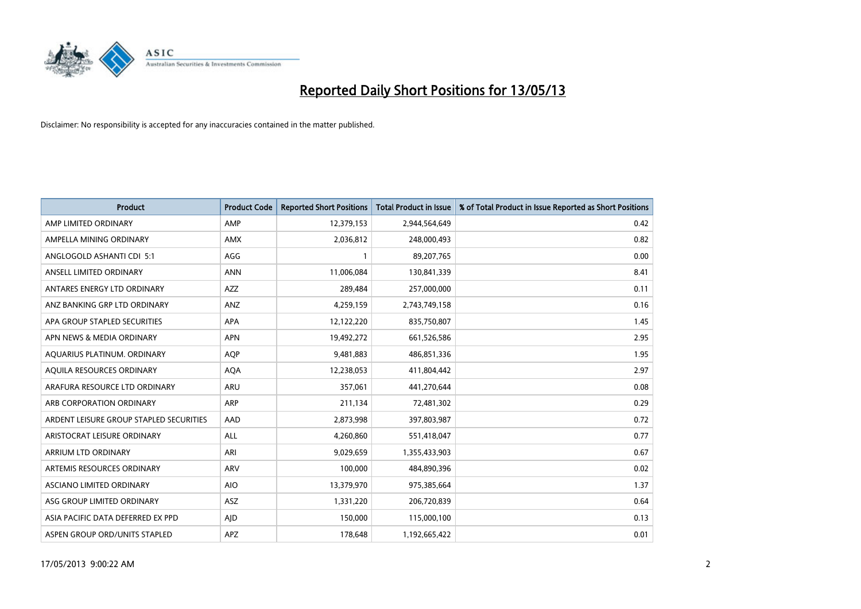

| <b>Product</b>                          | <b>Product Code</b> | <b>Reported Short Positions</b> | <b>Total Product in Issue</b> | % of Total Product in Issue Reported as Short Positions |
|-----------------------------------------|---------------------|---------------------------------|-------------------------------|---------------------------------------------------------|
| AMP LIMITED ORDINARY                    | AMP                 | 12,379,153                      | 2,944,564,649                 | 0.42                                                    |
| AMPELLA MINING ORDINARY                 | <b>AMX</b>          | 2,036,812                       | 248,000,493                   | 0.82                                                    |
| ANGLOGOLD ASHANTI CDI 5:1               | AGG                 |                                 | 89,207,765                    | 0.00                                                    |
| ANSELL LIMITED ORDINARY                 | <b>ANN</b>          | 11,006,084                      | 130,841,339                   | 8.41                                                    |
| ANTARES ENERGY LTD ORDINARY             | <b>AZZ</b>          | 289,484                         | 257,000,000                   | 0.11                                                    |
| ANZ BANKING GRP LTD ORDINARY            | ANZ                 | 4,259,159                       | 2,743,749,158                 | 0.16                                                    |
| APA GROUP STAPLED SECURITIES            | <b>APA</b>          | 12,122,220                      | 835,750,807                   | 1.45                                                    |
| APN NEWS & MEDIA ORDINARY               | <b>APN</b>          | 19,492,272                      | 661,526,586                   | 2.95                                                    |
| AQUARIUS PLATINUM. ORDINARY             | <b>AOP</b>          | 9,481,883                       | 486,851,336                   | 1.95                                                    |
| AQUILA RESOURCES ORDINARY               | <b>AQA</b>          | 12,238,053                      | 411,804,442                   | 2.97                                                    |
| ARAFURA RESOURCE LTD ORDINARY           | ARU                 | 357,061                         | 441,270,644                   | 0.08                                                    |
| ARB CORPORATION ORDINARY                | <b>ARP</b>          | 211,134                         | 72,481,302                    | 0.29                                                    |
| ARDENT LEISURE GROUP STAPLED SECURITIES | AAD                 | 2,873,998                       | 397,803,987                   | 0.72                                                    |
| ARISTOCRAT LEISURE ORDINARY             | ALL                 | 4,260,860                       | 551,418,047                   | 0.77                                                    |
| <b>ARRIUM LTD ORDINARY</b>              | ARI                 | 9,029,659                       | 1,355,433,903                 | 0.67                                                    |
| ARTEMIS RESOURCES ORDINARY              | ARV                 | 100,000                         | 484,890,396                   | 0.02                                                    |
| ASCIANO LIMITED ORDINARY                | <b>AIO</b>          | 13,379,970                      | 975,385,664                   | 1.37                                                    |
| ASG GROUP LIMITED ORDINARY              | <b>ASZ</b>          | 1,331,220                       | 206,720,839                   | 0.64                                                    |
| ASIA PACIFIC DATA DEFERRED EX PPD       | AID                 | 150,000                         | 115,000,100                   | 0.13                                                    |
| ASPEN GROUP ORD/UNITS STAPLED           | APZ                 | 178,648                         | 1,192,665,422                 | 0.01                                                    |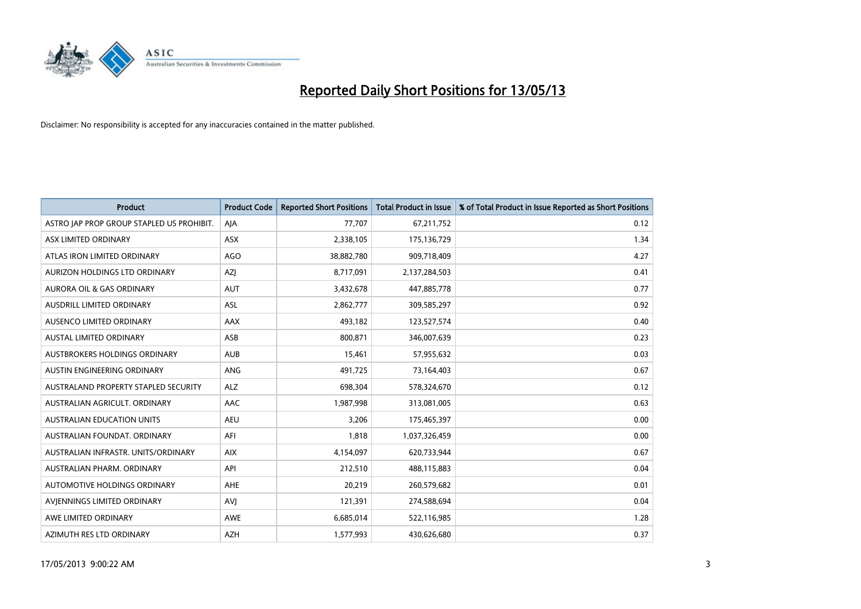

| <b>Product</b>                            | <b>Product Code</b> | <b>Reported Short Positions</b> | <b>Total Product in Issue</b> | % of Total Product in Issue Reported as Short Positions |
|-------------------------------------------|---------------------|---------------------------------|-------------------------------|---------------------------------------------------------|
| ASTRO JAP PROP GROUP STAPLED US PROHIBIT. | AJA                 | 77,707                          | 67,211,752                    | 0.12                                                    |
| ASX LIMITED ORDINARY                      | <b>ASX</b>          | 2,338,105                       | 175,136,729                   | 1.34                                                    |
| ATLAS IRON LIMITED ORDINARY               | <b>AGO</b>          | 38,882,780                      | 909,718,409                   | 4.27                                                    |
| AURIZON HOLDINGS LTD ORDINARY             | AZJ                 | 8,717,091                       | 2,137,284,503                 | 0.41                                                    |
| <b>AURORA OIL &amp; GAS ORDINARY</b>      | <b>AUT</b>          | 3,432,678                       | 447,885,778                   | 0.77                                                    |
| AUSDRILL LIMITED ORDINARY                 | <b>ASL</b>          | 2,862,777                       | 309,585,297                   | 0.92                                                    |
| AUSENCO LIMITED ORDINARY                  | <b>AAX</b>          | 493,182                         | 123,527,574                   | 0.40                                                    |
| AUSTAL LIMITED ORDINARY                   | ASB                 | 800,871                         | 346,007,639                   | 0.23                                                    |
| AUSTBROKERS HOLDINGS ORDINARY             | <b>AUB</b>          | 15,461                          | 57,955,632                    | 0.03                                                    |
| AUSTIN ENGINEERING ORDINARY               | ANG                 | 491,725                         | 73,164,403                    | 0.67                                                    |
| AUSTRALAND PROPERTY STAPLED SECURITY      | <b>ALZ</b>          | 698,304                         | 578,324,670                   | 0.12                                                    |
| AUSTRALIAN AGRICULT, ORDINARY             | AAC                 | 1,987,998                       | 313,081,005                   | 0.63                                                    |
| AUSTRALIAN EDUCATION UNITS                | <b>AEU</b>          | 3,206                           | 175,465,397                   | 0.00                                                    |
| AUSTRALIAN FOUNDAT. ORDINARY              | AFI                 | 1,818                           | 1,037,326,459                 | 0.00                                                    |
| AUSTRALIAN INFRASTR, UNITS/ORDINARY       | <b>AIX</b>          | 4,154,097                       | 620,733,944                   | 0.67                                                    |
| AUSTRALIAN PHARM. ORDINARY                | API                 | 212,510                         | 488,115,883                   | 0.04                                                    |
| AUTOMOTIVE HOLDINGS ORDINARY              | AHE                 | 20,219                          | 260,579,682                   | 0.01                                                    |
| AVJENNINGS LIMITED ORDINARY               | AVI                 | 121,391                         | 274,588,694                   | 0.04                                                    |
| AWE LIMITED ORDINARY                      | <b>AWE</b>          | 6,685,014                       | 522,116,985                   | 1.28                                                    |
| AZIMUTH RES LTD ORDINARY                  | <b>AZH</b>          | 1,577,993                       | 430,626,680                   | 0.37                                                    |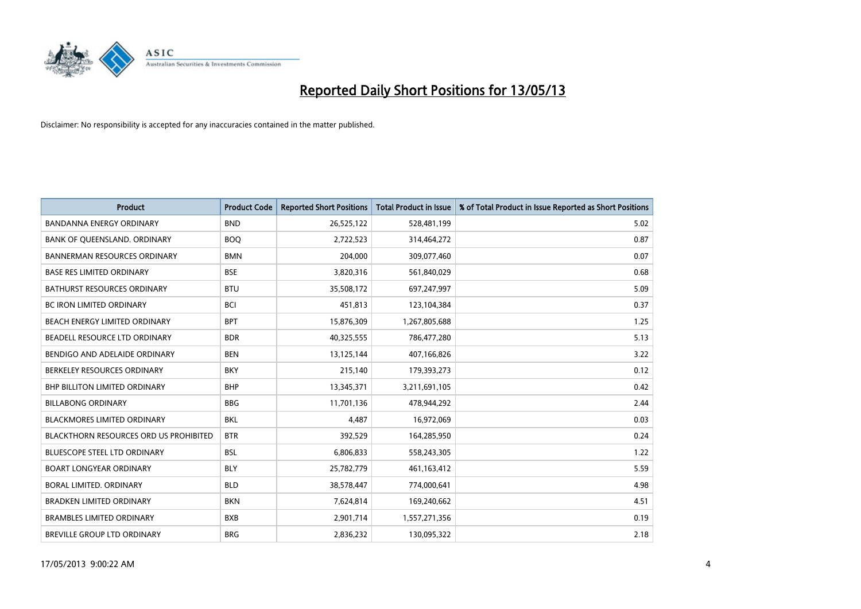

| <b>Product</b>                                | <b>Product Code</b> | <b>Reported Short Positions</b> | <b>Total Product in Issue</b> | % of Total Product in Issue Reported as Short Positions |
|-----------------------------------------------|---------------------|---------------------------------|-------------------------------|---------------------------------------------------------|
| <b>BANDANNA ENERGY ORDINARY</b>               | <b>BND</b>          | 26,525,122                      | 528,481,199                   | 5.02                                                    |
| BANK OF QUEENSLAND. ORDINARY                  | <b>BOO</b>          | 2,722,523                       | 314,464,272                   | 0.87                                                    |
| <b>BANNERMAN RESOURCES ORDINARY</b>           | <b>BMN</b>          | 204,000                         | 309,077,460                   | 0.07                                                    |
| <b>BASE RES LIMITED ORDINARY</b>              | <b>BSE</b>          | 3,820,316                       | 561,840,029                   | 0.68                                                    |
| <b>BATHURST RESOURCES ORDINARY</b>            | <b>BTU</b>          | 35,508,172                      | 697,247,997                   | 5.09                                                    |
| <b>BC IRON LIMITED ORDINARY</b>               | <b>BCI</b>          | 451,813                         | 123,104,384                   | 0.37                                                    |
| <b>BEACH ENERGY LIMITED ORDINARY</b>          | <b>BPT</b>          | 15,876,309                      | 1,267,805,688                 | 1.25                                                    |
| BEADELL RESOURCE LTD ORDINARY                 | <b>BDR</b>          | 40,325,555                      | 786,477,280                   | 5.13                                                    |
| BENDIGO AND ADELAIDE ORDINARY                 | <b>BEN</b>          | 13,125,144                      | 407,166,826                   | 3.22                                                    |
| BERKELEY RESOURCES ORDINARY                   | <b>BKY</b>          | 215,140                         | 179,393,273                   | 0.12                                                    |
| BHP BILLITON LIMITED ORDINARY                 | <b>BHP</b>          | 13,345,371                      | 3,211,691,105                 | 0.42                                                    |
| <b>BILLABONG ORDINARY</b>                     | <b>BBG</b>          | 11,701,136                      | 478,944,292                   | 2.44                                                    |
| BLACKMORES LIMITED ORDINARY                   | <b>BKL</b>          | 4,487                           | 16,972,069                    | 0.03                                                    |
| <b>BLACKTHORN RESOURCES ORD US PROHIBITED</b> | <b>BTR</b>          | 392,529                         | 164,285,950                   | 0.24                                                    |
| <b>BLUESCOPE STEEL LTD ORDINARY</b>           | <b>BSL</b>          | 6,806,833                       | 558,243,305                   | 1.22                                                    |
| <b>BOART LONGYEAR ORDINARY</b>                | <b>BLY</b>          | 25,782,779                      | 461,163,412                   | 5.59                                                    |
| BORAL LIMITED. ORDINARY                       | <b>BLD</b>          | 38,578,447                      | 774,000,641                   | 4.98                                                    |
| <b>BRADKEN LIMITED ORDINARY</b>               | <b>BKN</b>          | 7,624,814                       | 169,240,662                   | 4.51                                                    |
| <b>BRAMBLES LIMITED ORDINARY</b>              | <b>BXB</b>          | 2,901,714                       | 1,557,271,356                 | 0.19                                                    |
| BREVILLE GROUP LTD ORDINARY                   | <b>BRG</b>          | 2,836,232                       | 130,095,322                   | 2.18                                                    |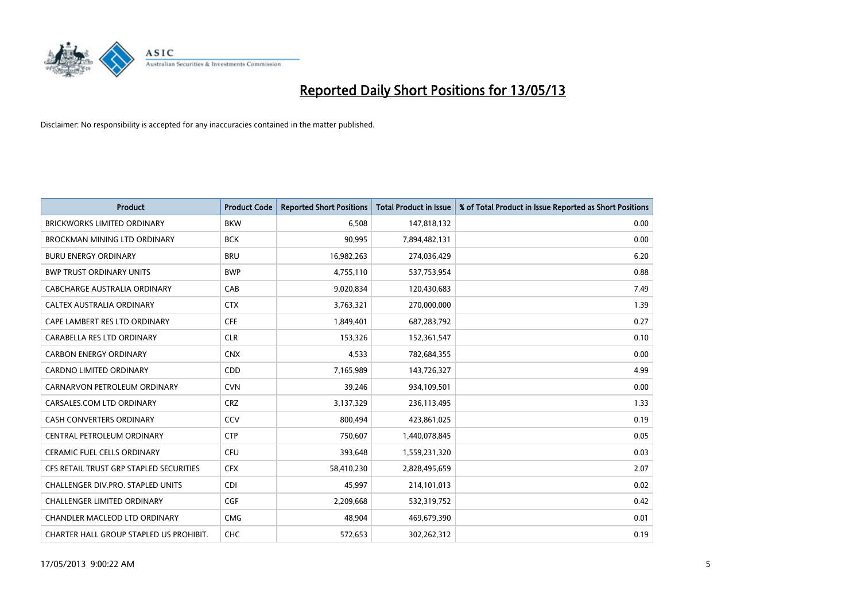

| <b>Product</b>                          | <b>Product Code</b> | <b>Reported Short Positions</b> | <b>Total Product in Issue</b> | % of Total Product in Issue Reported as Short Positions |
|-----------------------------------------|---------------------|---------------------------------|-------------------------------|---------------------------------------------------------|
| <b>BRICKWORKS LIMITED ORDINARY</b>      | <b>BKW</b>          | 6,508                           | 147,818,132                   | 0.00                                                    |
| BROCKMAN MINING LTD ORDINARY            | <b>BCK</b>          | 90,995                          | 7,894,482,131                 | 0.00                                                    |
| <b>BURU ENERGY ORDINARY</b>             | <b>BRU</b>          | 16,982,263                      | 274,036,429                   | 6.20                                                    |
| <b>BWP TRUST ORDINARY UNITS</b>         | <b>BWP</b>          | 4,755,110                       | 537,753,954                   | 0.88                                                    |
| <b>CABCHARGE AUSTRALIA ORDINARY</b>     | CAB                 | 9,020,834                       | 120,430,683                   | 7.49                                                    |
| CALTEX AUSTRALIA ORDINARY               | <b>CTX</b>          | 3,763,321                       | 270,000,000                   | 1.39                                                    |
| CAPE LAMBERT RES LTD ORDINARY           | <b>CFE</b>          | 1,849,401                       | 687,283,792                   | 0.27                                                    |
| CARABELLA RES LTD ORDINARY              | <b>CLR</b>          | 153,326                         | 152,361,547                   | 0.10                                                    |
| <b>CARBON ENERGY ORDINARY</b>           | <b>CNX</b>          | 4,533                           | 782,684,355                   | 0.00                                                    |
| <b>CARDNO LIMITED ORDINARY</b>          | <b>CDD</b>          | 7,165,989                       | 143,726,327                   | 4.99                                                    |
| CARNARVON PETROLEUM ORDINARY            | <b>CVN</b>          | 39,246                          | 934,109,501                   | 0.00                                                    |
| CARSALES.COM LTD ORDINARY               | <b>CRZ</b>          | 3,137,329                       | 236,113,495                   | 1.33                                                    |
| CASH CONVERTERS ORDINARY                | CCV                 | 800,494                         | 423,861,025                   | 0.19                                                    |
| CENTRAL PETROLEUM ORDINARY              | <b>CTP</b>          | 750,607                         | 1,440,078,845                 | 0.05                                                    |
| <b>CERAMIC FUEL CELLS ORDINARY</b>      | <b>CFU</b>          | 393,648                         | 1,559,231,320                 | 0.03                                                    |
| CFS RETAIL TRUST GRP STAPLED SECURITIES | <b>CFX</b>          | 58,410,230                      | 2,828,495,659                 | 2.07                                                    |
| CHALLENGER DIV.PRO. STAPLED UNITS       | <b>CDI</b>          | 45,997                          | 214,101,013                   | 0.02                                                    |
| <b>CHALLENGER LIMITED ORDINARY</b>      | <b>CGF</b>          | 2,209,668                       | 532,319,752                   | 0.42                                                    |
| <b>CHANDLER MACLEOD LTD ORDINARY</b>    | <b>CMG</b>          | 48,904                          | 469,679,390                   | 0.01                                                    |
| CHARTER HALL GROUP STAPLED US PROHIBIT. | <b>CHC</b>          | 572.653                         | 302.262.312                   | 0.19                                                    |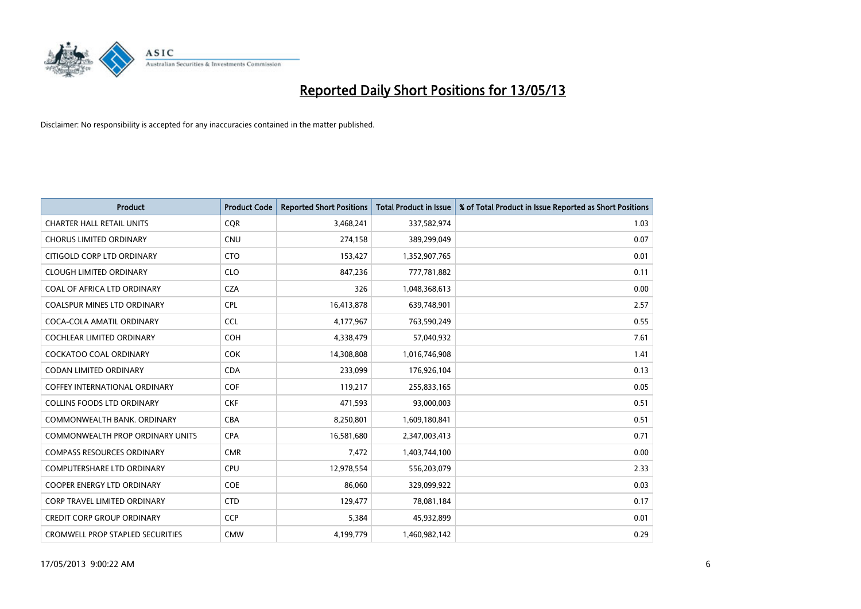

| <b>Product</b>                          | <b>Product Code</b> | <b>Reported Short Positions</b> | <b>Total Product in Issue</b> | % of Total Product in Issue Reported as Short Positions |
|-----------------------------------------|---------------------|---------------------------------|-------------------------------|---------------------------------------------------------|
| <b>CHARTER HALL RETAIL UNITS</b>        | <b>CQR</b>          | 3,468,241                       | 337,582,974                   | 1.03                                                    |
| <b>CHORUS LIMITED ORDINARY</b>          | <b>CNU</b>          | 274,158                         | 389,299,049                   | 0.07                                                    |
| CITIGOLD CORP LTD ORDINARY              | <b>CTO</b>          | 153,427                         | 1,352,907,765                 | 0.01                                                    |
| <b>CLOUGH LIMITED ORDINARY</b>          | <b>CLO</b>          | 847,236                         | 777,781,882                   | 0.11                                                    |
| COAL OF AFRICA LTD ORDINARY             | <b>CZA</b>          | 326                             | 1,048,368,613                 | 0.00                                                    |
| <b>COALSPUR MINES LTD ORDINARY</b>      | CPL                 | 16,413,878                      | 639,748,901                   | 2.57                                                    |
| COCA-COLA AMATIL ORDINARY               | <b>CCL</b>          | 4,177,967                       | 763,590,249                   | 0.55                                                    |
| COCHLEAR LIMITED ORDINARY               | <b>COH</b>          | 4,338,479                       | 57,040,932                    | 7.61                                                    |
| COCKATOO COAL ORDINARY                  | <b>COK</b>          | 14,308,808                      | 1,016,746,908                 | 1.41                                                    |
| <b>CODAN LIMITED ORDINARY</b>           | <b>CDA</b>          | 233,099                         | 176,926,104                   | 0.13                                                    |
| <b>COFFEY INTERNATIONAL ORDINARY</b>    | <b>COF</b>          | 119,217                         | 255,833,165                   | 0.05                                                    |
| <b>COLLINS FOODS LTD ORDINARY</b>       | <b>CKF</b>          | 471,593                         | 93,000,003                    | 0.51                                                    |
| COMMONWEALTH BANK, ORDINARY             | <b>CBA</b>          | 8,250,801                       | 1,609,180,841                 | 0.51                                                    |
| <b>COMMONWEALTH PROP ORDINARY UNITS</b> | <b>CPA</b>          | 16,581,680                      | 2,347,003,413                 | 0.71                                                    |
| <b>COMPASS RESOURCES ORDINARY</b>       | <b>CMR</b>          | 7,472                           | 1,403,744,100                 | 0.00                                                    |
| COMPUTERSHARE LTD ORDINARY              | <b>CPU</b>          | 12,978,554                      | 556,203,079                   | 2.33                                                    |
| <b>COOPER ENERGY LTD ORDINARY</b>       | <b>COE</b>          | 86,060                          | 329,099,922                   | 0.03                                                    |
| <b>CORP TRAVEL LIMITED ORDINARY</b>     | <b>CTD</b>          | 129,477                         | 78,081,184                    | 0.17                                                    |
| <b>CREDIT CORP GROUP ORDINARY</b>       | <b>CCP</b>          | 5,384                           | 45,932,899                    | 0.01                                                    |
| <b>CROMWELL PROP STAPLED SECURITIES</b> | <b>CMW</b>          | 4,199,779                       | 1,460,982,142                 | 0.29                                                    |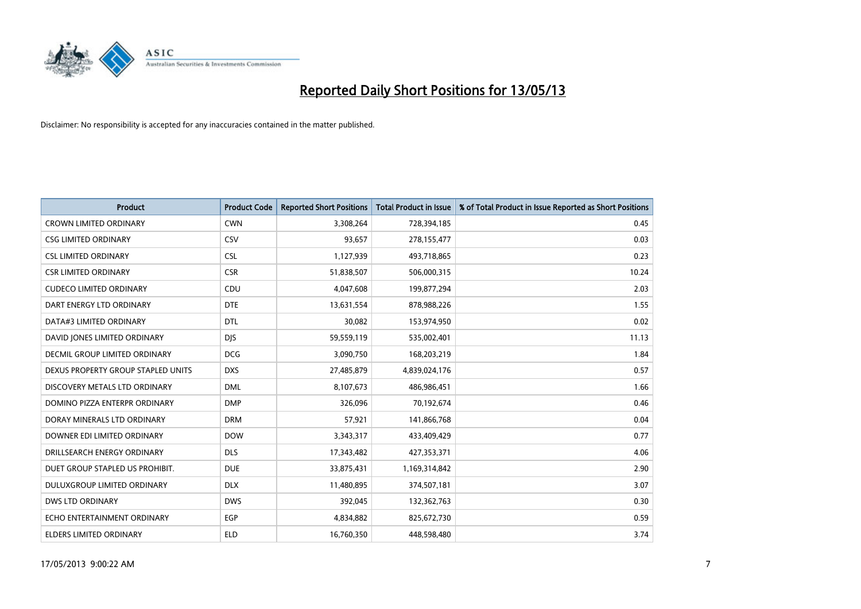

| <b>Product</b>                       | <b>Product Code</b> | <b>Reported Short Positions</b> | <b>Total Product in Issue</b> | % of Total Product in Issue Reported as Short Positions |
|--------------------------------------|---------------------|---------------------------------|-------------------------------|---------------------------------------------------------|
| <b>CROWN LIMITED ORDINARY</b>        | <b>CWN</b>          | 3,308,264                       | 728,394,185                   | 0.45                                                    |
| <b>CSG LIMITED ORDINARY</b>          | CSV                 | 93,657                          | 278,155,477                   | 0.03                                                    |
| <b>CSL LIMITED ORDINARY</b>          | <b>CSL</b>          | 1,127,939                       | 493,718,865                   | 0.23                                                    |
| <b>CSR LIMITED ORDINARY</b>          | <b>CSR</b>          | 51,838,507                      | 506,000,315                   | 10.24                                                   |
| <b>CUDECO LIMITED ORDINARY</b>       | CDU                 | 4,047,608                       | 199,877,294                   | 2.03                                                    |
| DART ENERGY LTD ORDINARY             | <b>DTE</b>          | 13,631,554                      | 878,988,226                   | 1.55                                                    |
| DATA#3 LIMITED ORDINARY              | <b>DTL</b>          | 30,082                          | 153,974,950                   | 0.02                                                    |
| DAVID JONES LIMITED ORDINARY         | <b>DIS</b>          | 59,559,119                      | 535,002,401                   | 11.13                                                   |
| <b>DECMIL GROUP LIMITED ORDINARY</b> | <b>DCG</b>          | 3,090,750                       | 168,203,219                   | 1.84                                                    |
| DEXUS PROPERTY GROUP STAPLED UNITS   | <b>DXS</b>          | 27,485,879                      | 4,839,024,176                 | 0.57                                                    |
| DISCOVERY METALS LTD ORDINARY        | <b>DML</b>          | 8,107,673                       | 486,986,451                   | 1.66                                                    |
| DOMINO PIZZA ENTERPR ORDINARY        | <b>DMP</b>          | 326,096                         | 70,192,674                    | 0.46                                                    |
| DORAY MINERALS LTD ORDINARY          | <b>DRM</b>          | 57,921                          | 141,866,768                   | 0.04                                                    |
| DOWNER EDI LIMITED ORDINARY          | <b>DOW</b>          | 3,343,317                       | 433,409,429                   | 0.77                                                    |
| DRILLSEARCH ENERGY ORDINARY          | <b>DLS</b>          | 17,343,482                      | 427,353,371                   | 4.06                                                    |
| DUET GROUP STAPLED US PROHIBIT.      | <b>DUE</b>          | 33,875,431                      | 1,169,314,842                 | 2.90                                                    |
| DULUXGROUP LIMITED ORDINARY          | <b>DLX</b>          | 11,480,895                      | 374,507,181                   | 3.07                                                    |
| <b>DWS LTD ORDINARY</b>              | <b>DWS</b>          | 392,045                         | 132,362,763                   | 0.30                                                    |
| ECHO ENTERTAINMENT ORDINARY          | <b>EGP</b>          | 4,834,882                       | 825,672,730                   | 0.59                                                    |
| ELDERS LIMITED ORDINARY              | <b>ELD</b>          | 16,760,350                      | 448,598,480                   | 3.74                                                    |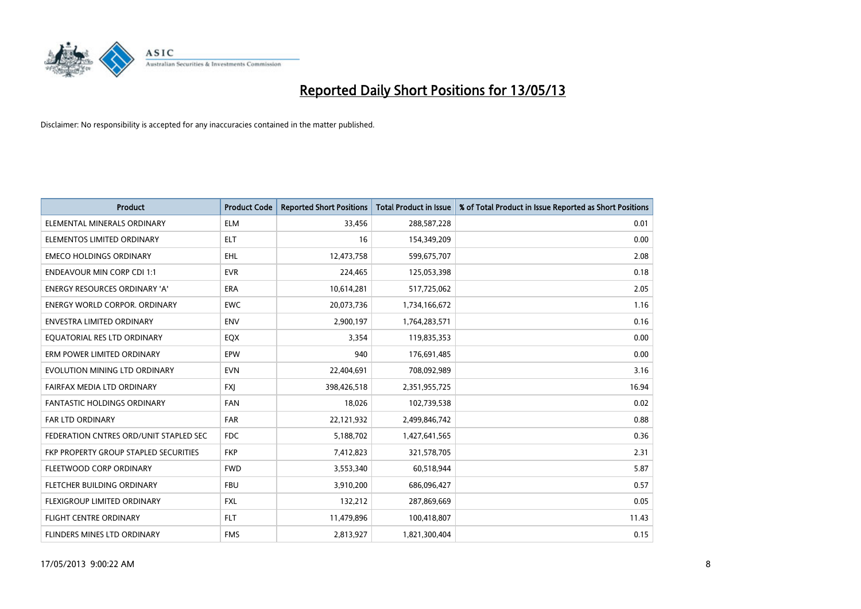

| <b>Product</b>                         | <b>Product Code</b> | <b>Reported Short Positions</b> | <b>Total Product in Issue</b> | % of Total Product in Issue Reported as Short Positions |
|----------------------------------------|---------------------|---------------------------------|-------------------------------|---------------------------------------------------------|
| ELEMENTAL MINERALS ORDINARY            | <b>ELM</b>          | 33,456                          | 288,587,228                   | 0.01                                                    |
| ELEMENTOS LIMITED ORDINARY             | <b>ELT</b>          | 16                              | 154,349,209                   | 0.00                                                    |
| <b>EMECO HOLDINGS ORDINARY</b>         | <b>EHL</b>          | 12,473,758                      | 599,675,707                   | 2.08                                                    |
| <b>ENDEAVOUR MIN CORP CDI 1:1</b>      | <b>EVR</b>          | 224,465                         | 125,053,398                   | 0.18                                                    |
| <b>ENERGY RESOURCES ORDINARY 'A'</b>   | <b>ERA</b>          | 10,614,281                      | 517,725,062                   | 2.05                                                    |
| <b>ENERGY WORLD CORPOR, ORDINARY</b>   | <b>EWC</b>          | 20,073,736                      | 1,734,166,672                 | 1.16                                                    |
| ENVESTRA LIMITED ORDINARY              | <b>ENV</b>          | 2,900,197                       | 1,764,283,571                 | 0.16                                                    |
| EQUATORIAL RES LTD ORDINARY            | EQX                 | 3,354                           | 119,835,353                   | 0.00                                                    |
| ERM POWER LIMITED ORDINARY             | EPW                 | 940                             | 176,691,485                   | 0.00                                                    |
| EVOLUTION MINING LTD ORDINARY          | <b>EVN</b>          | 22,404,691                      | 708,092,989                   | 3.16                                                    |
| FAIRFAX MEDIA LTD ORDINARY             | <b>FXI</b>          | 398,426,518                     | 2,351,955,725                 | 16.94                                                   |
| <b>FANTASTIC HOLDINGS ORDINARY</b>     | <b>FAN</b>          | 18,026                          | 102,739,538                   | 0.02                                                    |
| FAR LTD ORDINARY                       | <b>FAR</b>          | 22,121,932                      | 2,499,846,742                 | 0.88                                                    |
| FEDERATION CNTRES ORD/UNIT STAPLED SEC | <b>FDC</b>          | 5,188,702                       | 1,427,641,565                 | 0.36                                                    |
| FKP PROPERTY GROUP STAPLED SECURITIES  | <b>FKP</b>          | 7,412,823                       | 321,578,705                   | 2.31                                                    |
| FLEETWOOD CORP ORDINARY                | <b>FWD</b>          | 3,553,340                       | 60,518,944                    | 5.87                                                    |
| FLETCHER BUILDING ORDINARY             | <b>FBU</b>          | 3,910,200                       | 686,096,427                   | 0.57                                                    |
| FLEXIGROUP LIMITED ORDINARY            | <b>FXL</b>          | 132,212                         | 287,869,669                   | 0.05                                                    |
| FLIGHT CENTRE ORDINARY                 | <b>FLT</b>          | 11,479,896                      | 100,418,807                   | 11.43                                                   |
| FLINDERS MINES LTD ORDINARY            | <b>FMS</b>          | 2,813,927                       | 1,821,300,404                 | 0.15                                                    |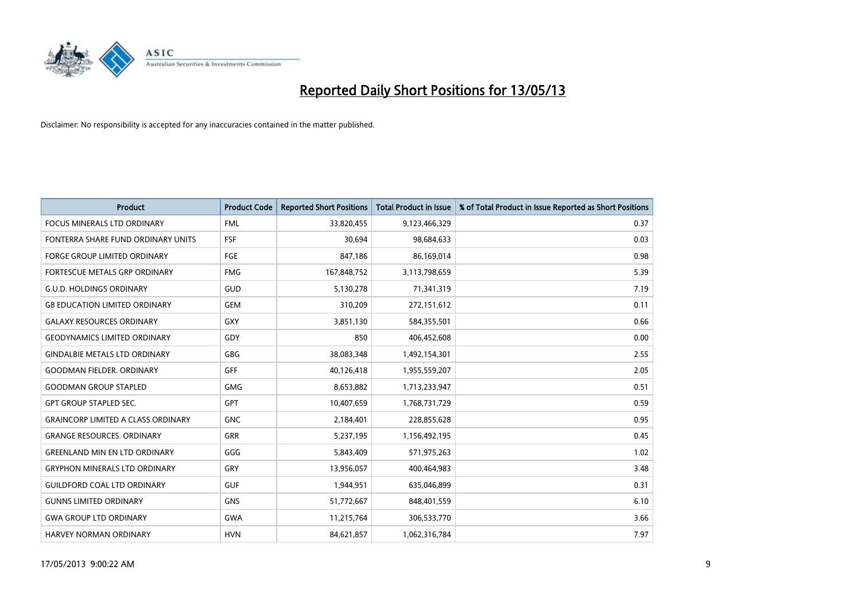

| <b>Product</b>                            | <b>Product Code</b> | <b>Reported Short Positions</b> | <b>Total Product in Issue</b> | % of Total Product in Issue Reported as Short Positions |
|-------------------------------------------|---------------------|---------------------------------|-------------------------------|---------------------------------------------------------|
| <b>FOCUS MINERALS LTD ORDINARY</b>        | <b>FML</b>          | 33,820,455                      | 9,123,466,329                 | 0.37                                                    |
| FONTERRA SHARE FUND ORDINARY UNITS        | FSF                 | 30,694                          | 98,684,633                    | 0.03                                                    |
| <b>FORGE GROUP LIMITED ORDINARY</b>       | FGE                 | 847,186                         | 86,169,014                    | 0.98                                                    |
| FORTESCUE METALS GRP ORDINARY             | <b>FMG</b>          | 167,848,752                     | 3,113,798,659                 | 5.39                                                    |
| <b>G.U.D. HOLDINGS ORDINARY</b>           | GUD                 | 5,130,278                       | 71,341,319                    | 7.19                                                    |
| <b>G8 EDUCATION LIMITED ORDINARY</b>      | <b>GEM</b>          | 310,209                         | 272,151,612                   | 0.11                                                    |
| <b>GALAXY RESOURCES ORDINARY</b>          | <b>GXY</b>          | 3,851,130                       | 584,355,501                   | 0.66                                                    |
| <b>GEODYNAMICS LIMITED ORDINARY</b>       | GDY                 | 850                             | 406,452,608                   | 0.00                                                    |
| <b>GINDALBIE METALS LTD ORDINARY</b>      | <b>GBG</b>          | 38,083,348                      | 1,492,154,301                 | 2.55                                                    |
| <b>GOODMAN FIELDER, ORDINARY</b>          | <b>GFF</b>          | 40,126,418                      | 1,955,559,207                 | 2.05                                                    |
| <b>GOODMAN GROUP STAPLED</b>              | <b>GMG</b>          | 8,653,882                       | 1,713,233,947                 | 0.51                                                    |
| <b>GPT GROUP STAPLED SEC.</b>             | <b>GPT</b>          | 10,407,659                      | 1,768,731,729                 | 0.59                                                    |
| <b>GRAINCORP LIMITED A CLASS ORDINARY</b> | <b>GNC</b>          | 2,184,401                       | 228,855,628                   | 0.95                                                    |
| <b>GRANGE RESOURCES, ORDINARY</b>         | <b>GRR</b>          | 5,237,195                       | 1,156,492,195                 | 0.45                                                    |
| <b>GREENLAND MIN EN LTD ORDINARY</b>      | GGG                 | 5,843,409                       | 571,975,263                   | 1.02                                                    |
| <b>GRYPHON MINERALS LTD ORDINARY</b>      | GRY                 | 13,956,057                      | 400,464,983                   | 3.48                                                    |
| <b>GUILDFORD COAL LTD ORDINARY</b>        | <b>GUF</b>          | 1,944,951                       | 635,046,899                   | 0.31                                                    |
| <b>GUNNS LIMITED ORDINARY</b>             | <b>GNS</b>          | 51,772,667                      | 848,401,559                   | 6.10                                                    |
| <b>GWA GROUP LTD ORDINARY</b>             | <b>GWA</b>          | 11,215,764                      | 306,533,770                   | 3.66                                                    |
| HARVEY NORMAN ORDINARY                    | <b>HVN</b>          | 84,621,857                      | 1,062,316,784                 | 7.97                                                    |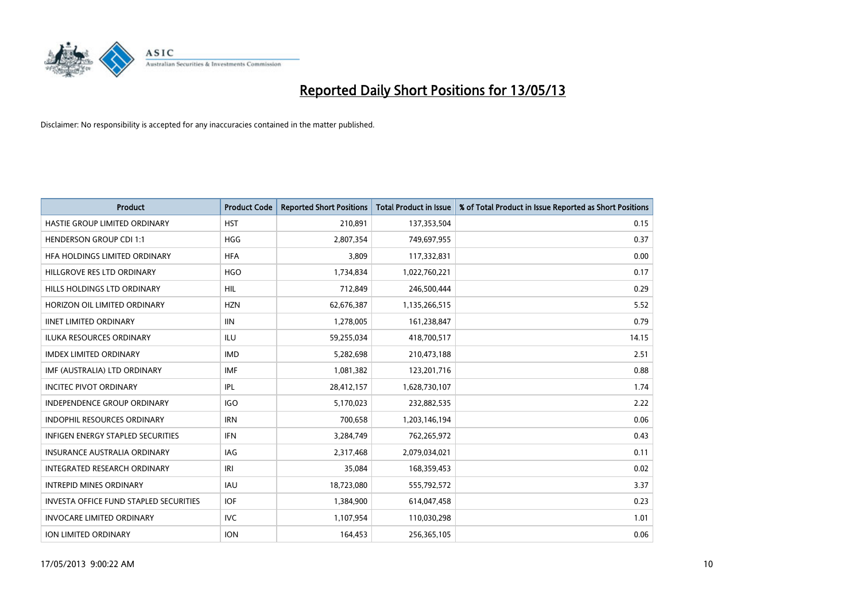

| <b>Product</b>                         | <b>Product Code</b> | <b>Reported Short Positions</b> | <b>Total Product in Issue</b> | % of Total Product in Issue Reported as Short Positions |
|----------------------------------------|---------------------|---------------------------------|-------------------------------|---------------------------------------------------------|
| HASTIE GROUP LIMITED ORDINARY          | <b>HST</b>          | 210,891                         | 137,353,504                   | 0.15                                                    |
| <b>HENDERSON GROUP CDI 1:1</b>         | <b>HGG</b>          | 2,807,354                       | 749,697,955                   | 0.37                                                    |
| HFA HOLDINGS LIMITED ORDINARY          | <b>HFA</b>          | 3,809                           | 117,332,831                   | 0.00                                                    |
| HILLGROVE RES LTD ORDINARY             | <b>HGO</b>          | 1,734,834                       | 1,022,760,221                 | 0.17                                                    |
| HILLS HOLDINGS LTD ORDINARY            | <b>HIL</b>          | 712,849                         | 246,500,444                   | 0.29                                                    |
| HORIZON OIL LIMITED ORDINARY           | <b>HZN</b>          | 62,676,387                      | 1,135,266,515                 | 5.52                                                    |
| <b>IINET LIMITED ORDINARY</b>          | <b>IIN</b>          | 1,278,005                       | 161,238,847                   | 0.79                                                    |
| ILUKA RESOURCES ORDINARY               | ILU                 | 59,255,034                      | 418,700,517                   | 14.15                                                   |
| <b>IMDEX LIMITED ORDINARY</b>          | <b>IMD</b>          | 5,282,698                       | 210,473,188                   | 2.51                                                    |
| IMF (AUSTRALIA) LTD ORDINARY           | <b>IMF</b>          | 1,081,382                       | 123,201,716                   | 0.88                                                    |
| <b>INCITEC PIVOT ORDINARY</b>          | <b>IPL</b>          | 28,412,157                      | 1,628,730,107                 | 1.74                                                    |
| <b>INDEPENDENCE GROUP ORDINARY</b>     | <b>IGO</b>          | 5,170,023                       | 232,882,535                   | 2.22                                                    |
| INDOPHIL RESOURCES ORDINARY            | <b>IRN</b>          | 700,658                         | 1,203,146,194                 | 0.06                                                    |
| INFIGEN ENERGY STAPLED SECURITIES      | <b>IFN</b>          | 3,284,749                       | 762,265,972                   | 0.43                                                    |
| <b>INSURANCE AUSTRALIA ORDINARY</b>    | IAG                 | 2,317,468                       | 2,079,034,021                 | 0.11                                                    |
| INTEGRATED RESEARCH ORDINARY           | IRI                 | 35,084                          | 168,359,453                   | 0.02                                                    |
| <b>INTREPID MINES ORDINARY</b>         | <b>IAU</b>          | 18,723,080                      | 555,792,572                   | 3.37                                                    |
| INVESTA OFFICE FUND STAPLED SECURITIES | <b>IOF</b>          | 1,384,900                       | 614,047,458                   | 0.23                                                    |
| <b>INVOCARE LIMITED ORDINARY</b>       | IVC                 | 1,107,954                       | 110,030,298                   | 1.01                                                    |
| <b>ION LIMITED ORDINARY</b>            | <b>ION</b>          | 164,453                         | 256,365,105                   | 0.06                                                    |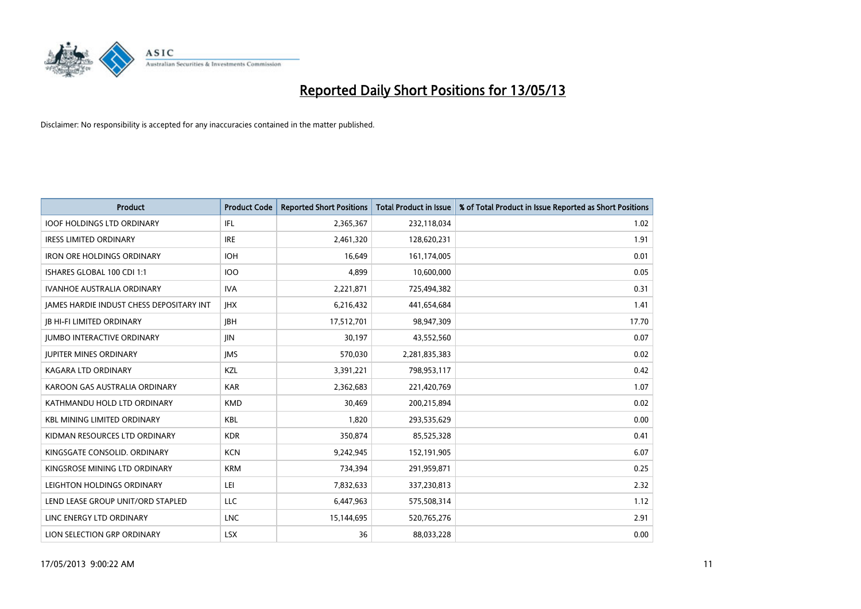

| <b>Product</b>                           | <b>Product Code</b> | <b>Reported Short Positions</b> | <b>Total Product in Issue</b> | % of Total Product in Issue Reported as Short Positions |
|------------------------------------------|---------------------|---------------------------------|-------------------------------|---------------------------------------------------------|
| <b>IOOF HOLDINGS LTD ORDINARY</b>        | IFL.                | 2,365,367                       | 232,118,034                   | 1.02                                                    |
| <b>IRESS LIMITED ORDINARY</b>            | <b>IRE</b>          | 2,461,320                       | 128,620,231                   | 1.91                                                    |
| <b>IRON ORE HOLDINGS ORDINARY</b>        | <b>IOH</b>          | 16.649                          | 161,174,005                   | 0.01                                                    |
| ISHARES GLOBAL 100 CDI 1:1               | <b>IOO</b>          | 4,899                           | 10,600,000                    | 0.05                                                    |
| <b>IVANHOE AUSTRALIA ORDINARY</b>        | <b>IVA</b>          | 2,221,871                       | 725,494,382                   | 0.31                                                    |
| JAMES HARDIE INDUST CHESS DEPOSITARY INT | <b>IHX</b>          | 6,216,432                       | 441,654,684                   | 1.41                                                    |
| <b>IB HI-FI LIMITED ORDINARY</b>         | <b>IBH</b>          | 17,512,701                      | 98,947,309                    | 17.70                                                   |
| <b>JUMBO INTERACTIVE ORDINARY</b>        | <b>JIN</b>          | 30,197                          | 43,552,560                    | 0.07                                                    |
| <b>JUPITER MINES ORDINARY</b>            | <b>IMS</b>          | 570,030                         | 2,281,835,383                 | 0.02                                                    |
| <b>KAGARA LTD ORDINARY</b>               | <b>KZL</b>          | 3,391,221                       | 798,953,117                   | 0.42                                                    |
| KAROON GAS AUSTRALIA ORDINARY            | <b>KAR</b>          | 2,362,683                       | 221,420,769                   | 1.07                                                    |
| KATHMANDU HOLD LTD ORDINARY              | <b>KMD</b>          | 30,469                          | 200,215,894                   | 0.02                                                    |
| <b>KBL MINING LIMITED ORDINARY</b>       | <b>KBL</b>          | 1,820                           | 293,535,629                   | 0.00                                                    |
| KIDMAN RESOURCES LTD ORDINARY            | <b>KDR</b>          | 350,874                         | 85,525,328                    | 0.41                                                    |
| KINGSGATE CONSOLID. ORDINARY             | <b>KCN</b>          | 9,242,945                       | 152,191,905                   | 6.07                                                    |
| KINGSROSE MINING LTD ORDINARY            | <b>KRM</b>          | 734,394                         | 291,959,871                   | 0.25                                                    |
| LEIGHTON HOLDINGS ORDINARY               | LEI                 | 7,832,633                       | 337,230,813                   | 2.32                                                    |
| LEND LEASE GROUP UNIT/ORD STAPLED        | LLC                 | 6,447,963                       | 575,508,314                   | 1.12                                                    |
| LINC ENERGY LTD ORDINARY                 | <b>LNC</b>          | 15,144,695                      | 520,765,276                   | 2.91                                                    |
| LION SELECTION GRP ORDINARY              | <b>LSX</b>          | 36                              | 88.033.228                    | 0.00                                                    |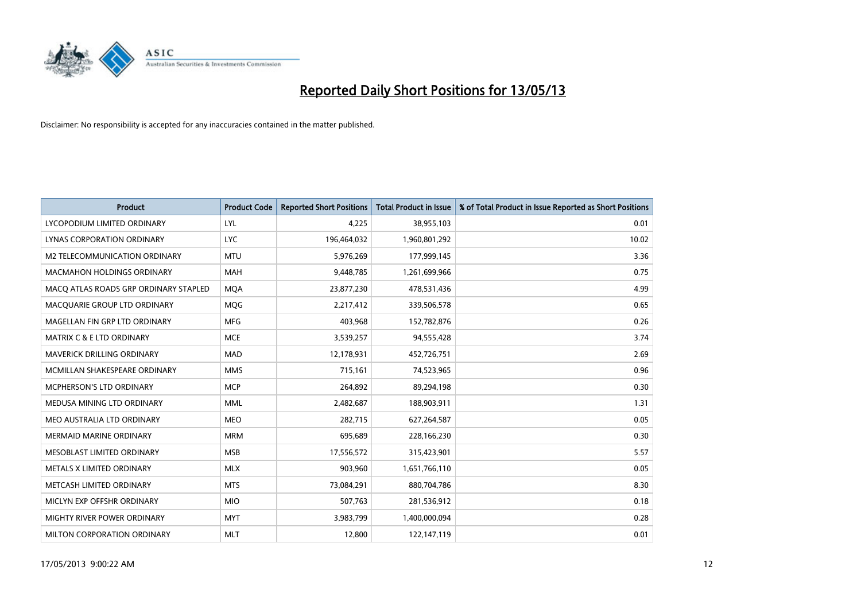

| <b>Product</b>                        | <b>Product Code</b> | <b>Reported Short Positions</b> | <b>Total Product in Issue</b> | % of Total Product in Issue Reported as Short Positions |
|---------------------------------------|---------------------|---------------------------------|-------------------------------|---------------------------------------------------------|
| LYCOPODIUM LIMITED ORDINARY           | LYL                 | 4,225                           | 38,955,103                    | 0.01                                                    |
| LYNAS CORPORATION ORDINARY            | <b>LYC</b>          | 196,464,032                     | 1,960,801,292                 | 10.02                                                   |
| M2 TELECOMMUNICATION ORDINARY         | <b>MTU</b>          | 5,976,269                       | 177,999,145                   | 3.36                                                    |
| <b>MACMAHON HOLDINGS ORDINARY</b>     | <b>MAH</b>          | 9,448,785                       | 1,261,699,966                 | 0.75                                                    |
| MACQ ATLAS ROADS GRP ORDINARY STAPLED | <b>MOA</b>          | 23,877,230                      | 478,531,436                   | 4.99                                                    |
| MACQUARIE GROUP LTD ORDINARY          | <b>MOG</b>          | 2,217,412                       | 339,506,578                   | 0.65                                                    |
| MAGELLAN FIN GRP LTD ORDINARY         | <b>MFG</b>          | 403,968                         | 152,782,876                   | 0.26                                                    |
| MATRIX C & E LTD ORDINARY             | <b>MCE</b>          | 3,539,257                       | 94,555,428                    | 3.74                                                    |
| MAVERICK DRILLING ORDINARY            | <b>MAD</b>          | 12,178,931                      | 452,726,751                   | 2.69                                                    |
| MCMILLAN SHAKESPEARE ORDINARY         | <b>MMS</b>          | 715,161                         | 74,523,965                    | 0.96                                                    |
| MCPHERSON'S LTD ORDINARY              | <b>MCP</b>          | 264,892                         | 89,294,198                    | 0.30                                                    |
| MEDUSA MINING LTD ORDINARY            | <b>MML</b>          | 2,482,687                       | 188,903,911                   | 1.31                                                    |
| MEO AUSTRALIA LTD ORDINARY            | <b>MEO</b>          | 282,715                         | 627,264,587                   | 0.05                                                    |
| <b>MERMAID MARINE ORDINARY</b>        | <b>MRM</b>          | 695,689                         | 228,166,230                   | 0.30                                                    |
| MESOBLAST LIMITED ORDINARY            | <b>MSB</b>          | 17,556,572                      | 315,423,901                   | 5.57                                                    |
| METALS X LIMITED ORDINARY             | <b>MLX</b>          | 903,960                         | 1,651,766,110                 | 0.05                                                    |
| METCASH LIMITED ORDINARY              | <b>MTS</b>          | 73,084,291                      | 880,704,786                   | 8.30                                                    |
| MICLYN EXP OFFSHR ORDINARY            | <b>MIO</b>          | 507,763                         | 281,536,912                   | 0.18                                                    |
| <b>MIGHTY RIVER POWER ORDINARY</b>    | <b>MYT</b>          | 3,983,799                       | 1,400,000,094                 | 0.28                                                    |
| MILTON CORPORATION ORDINARY           | <b>MLT</b>          | 12,800                          | 122,147,119                   | 0.01                                                    |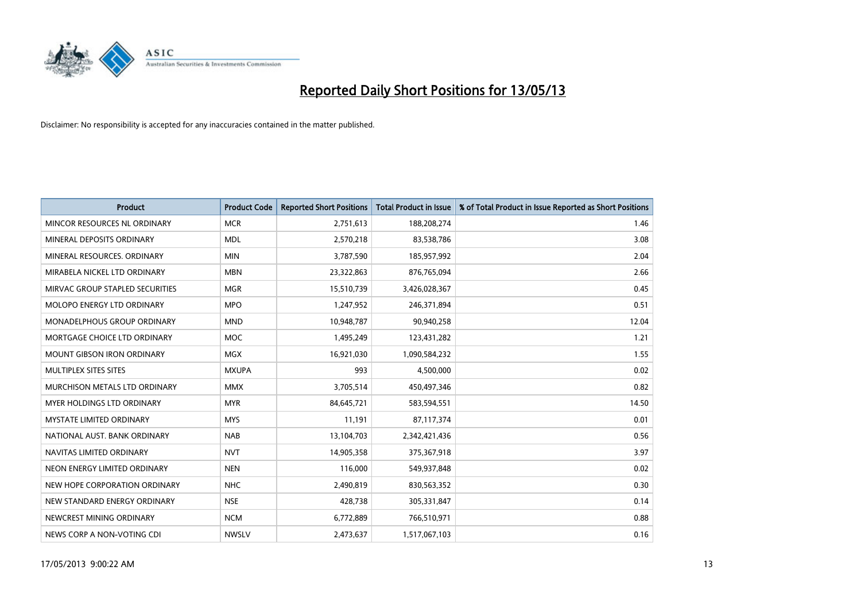

| <b>Product</b>                     | <b>Product Code</b> | <b>Reported Short Positions</b> | <b>Total Product in Issue</b> | % of Total Product in Issue Reported as Short Positions |
|------------------------------------|---------------------|---------------------------------|-------------------------------|---------------------------------------------------------|
| MINCOR RESOURCES NL ORDINARY       | <b>MCR</b>          | 2,751,613                       | 188,208,274                   | 1.46                                                    |
| MINERAL DEPOSITS ORDINARY          | <b>MDL</b>          | 2,570,218                       | 83,538,786                    | 3.08                                                    |
| MINERAL RESOURCES, ORDINARY        | <b>MIN</b>          | 3,787,590                       | 185,957,992                   | 2.04                                                    |
| MIRABELA NICKEL LTD ORDINARY       | <b>MBN</b>          | 23,322,863                      | 876,765,094                   | 2.66                                                    |
| MIRVAC GROUP STAPLED SECURITIES    | <b>MGR</b>          | 15,510,739                      | 3,426,028,367                 | 0.45                                                    |
| MOLOPO ENERGY LTD ORDINARY         | <b>MPO</b>          | 1,247,952                       | 246,371,894                   | 0.51                                                    |
| <b>MONADELPHOUS GROUP ORDINARY</b> | <b>MND</b>          | 10,948,787                      | 90,940,258                    | 12.04                                                   |
| MORTGAGE CHOICE LTD ORDINARY       | <b>MOC</b>          | 1,495,249                       | 123,431,282                   | 1.21                                                    |
| <b>MOUNT GIBSON IRON ORDINARY</b>  | <b>MGX</b>          | 16,921,030                      | 1,090,584,232                 | 1.55                                                    |
| MULTIPLEX SITES SITES              | <b>MXUPA</b>        | 993                             | 4,500,000                     | 0.02                                                    |
| MURCHISON METALS LTD ORDINARY      | <b>MMX</b>          | 3,705,514                       | 450,497,346                   | 0.82                                                    |
| <b>MYER HOLDINGS LTD ORDINARY</b>  | <b>MYR</b>          | 84,645,721                      | 583,594,551                   | 14.50                                                   |
| MYSTATE LIMITED ORDINARY           | <b>MYS</b>          | 11,191                          | 87,117,374                    | 0.01                                                    |
| NATIONAL AUST, BANK ORDINARY       | <b>NAB</b>          | 13,104,703                      | 2,342,421,436                 | 0.56                                                    |
| NAVITAS LIMITED ORDINARY           | <b>NVT</b>          | 14,905,358                      | 375,367,918                   | 3.97                                                    |
| NEON ENERGY LIMITED ORDINARY       | <b>NEN</b>          | 116,000                         | 549,937,848                   | 0.02                                                    |
| NEW HOPE CORPORATION ORDINARY      | <b>NHC</b>          | 2,490,819                       | 830,563,352                   | 0.30                                                    |
| NEW STANDARD ENERGY ORDINARY       | <b>NSE</b>          | 428,738                         | 305,331,847                   | 0.14                                                    |
| NEWCREST MINING ORDINARY           | <b>NCM</b>          | 6,772,889                       | 766,510,971                   | 0.88                                                    |
| NEWS CORP A NON-VOTING CDI         | <b>NWSLV</b>        | 2,473,637                       | 1,517,067,103                 | 0.16                                                    |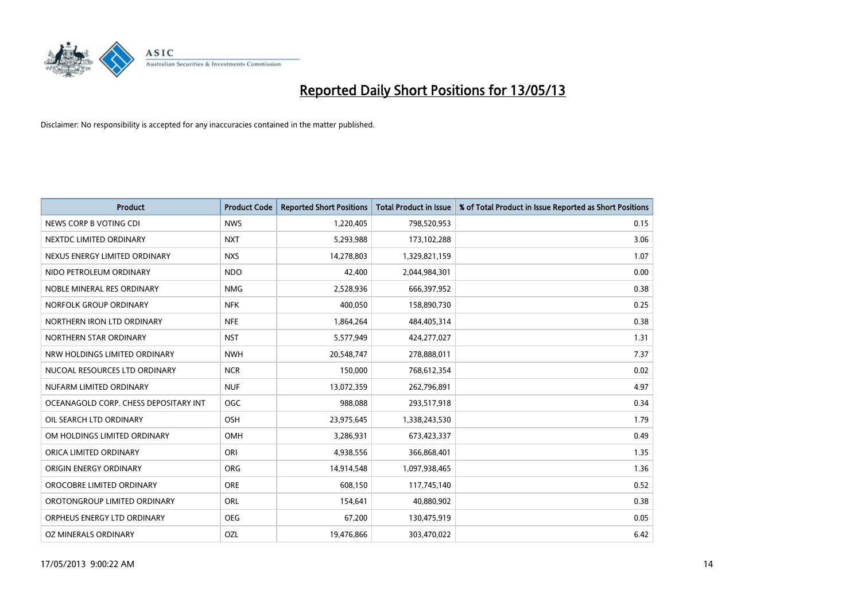

| <b>Product</b>                        | <b>Product Code</b> | <b>Reported Short Positions</b> | <b>Total Product in Issue</b> | % of Total Product in Issue Reported as Short Positions |
|---------------------------------------|---------------------|---------------------------------|-------------------------------|---------------------------------------------------------|
| NEWS CORP B VOTING CDI                | <b>NWS</b>          | 1,220,405                       | 798,520,953                   | 0.15                                                    |
| NEXTDC LIMITED ORDINARY               | <b>NXT</b>          | 5,293,988                       | 173,102,288                   | 3.06                                                    |
| NEXUS ENERGY LIMITED ORDINARY         | <b>NXS</b>          | 14,278,803                      | 1,329,821,159                 | 1.07                                                    |
| NIDO PETROLEUM ORDINARY               | <b>NDO</b>          | 42,400                          | 2,044,984,301                 | 0.00                                                    |
| NOBLE MINERAL RES ORDINARY            | <b>NMG</b>          | 2,528,936                       | 666,397,952                   | 0.38                                                    |
| NORFOLK GROUP ORDINARY                | <b>NFK</b>          | 400.050                         | 158,890,730                   | 0.25                                                    |
| NORTHERN IRON LTD ORDINARY            | <b>NFE</b>          | 1,864,264                       | 484,405,314                   | 0.38                                                    |
| NORTHERN STAR ORDINARY                | <b>NST</b>          | 5,577,949                       | 424,277,027                   | 1.31                                                    |
| NRW HOLDINGS LIMITED ORDINARY         | <b>NWH</b>          | 20,548,747                      | 278,888,011                   | 7.37                                                    |
| NUCOAL RESOURCES LTD ORDINARY         | <b>NCR</b>          | 150,000                         | 768,612,354                   | 0.02                                                    |
| NUFARM LIMITED ORDINARY               | <b>NUF</b>          | 13,072,359                      | 262,796,891                   | 4.97                                                    |
| OCEANAGOLD CORP. CHESS DEPOSITARY INT | <b>OGC</b>          | 988,088                         | 293,517,918                   | 0.34                                                    |
| OIL SEARCH LTD ORDINARY               | OSH                 | 23,975,645                      | 1,338,243,530                 | 1.79                                                    |
| OM HOLDINGS LIMITED ORDINARY          | OMH                 | 3,286,931                       | 673,423,337                   | 0.49                                                    |
| ORICA LIMITED ORDINARY                | ORI                 | 4,938,556                       | 366,868,401                   | 1.35                                                    |
| ORIGIN ENERGY ORDINARY                | <b>ORG</b>          | 14,914,548                      | 1,097,938,465                 | 1.36                                                    |
| OROCOBRE LIMITED ORDINARY             | <b>ORE</b>          | 608,150                         | 117,745,140                   | 0.52                                                    |
| OROTONGROUP LIMITED ORDINARY          | <b>ORL</b>          | 154,641                         | 40,880,902                    | 0.38                                                    |
| ORPHEUS ENERGY LTD ORDINARY           | <b>OEG</b>          | 67,200                          | 130,475,919                   | 0.05                                                    |
| OZ MINERALS ORDINARY                  | OZL                 | 19,476,866                      | 303,470,022                   | 6.42                                                    |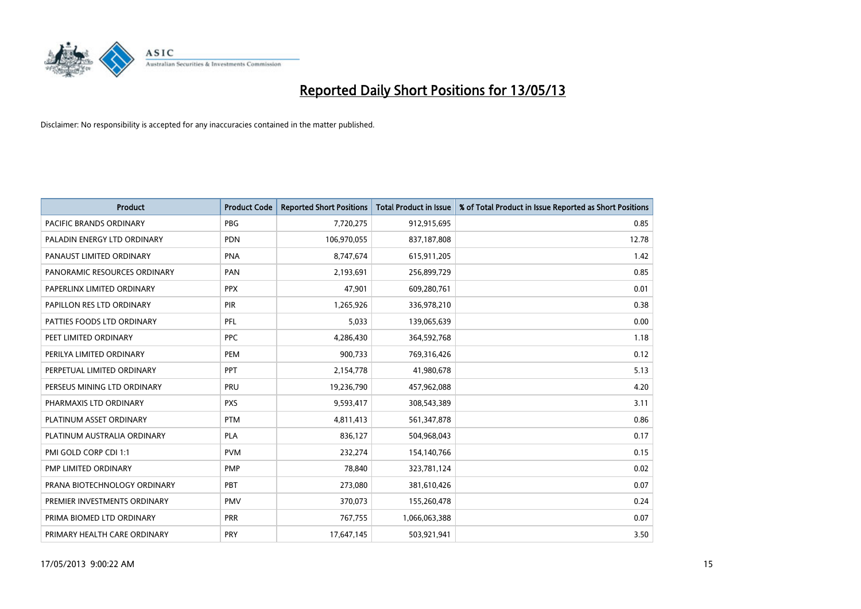

| <b>Product</b>               | <b>Product Code</b> | <b>Reported Short Positions</b> | <b>Total Product in Issue</b> | % of Total Product in Issue Reported as Short Positions |
|------------------------------|---------------------|---------------------------------|-------------------------------|---------------------------------------------------------|
| PACIFIC BRANDS ORDINARY      | <b>PBG</b>          | 7,720,275                       | 912,915,695                   | 0.85                                                    |
| PALADIN ENERGY LTD ORDINARY  | <b>PDN</b>          | 106,970,055                     | 837,187,808                   | 12.78                                                   |
| PANAUST LIMITED ORDINARY     | <b>PNA</b>          | 8,747,674                       | 615,911,205                   | 1.42                                                    |
| PANORAMIC RESOURCES ORDINARY | PAN                 | 2,193,691                       | 256,899,729                   | 0.85                                                    |
| PAPERLINX LIMITED ORDINARY   | <b>PPX</b>          | 47,901                          | 609,280,761                   | 0.01                                                    |
| PAPILLON RES LTD ORDINARY    | <b>PIR</b>          | 1,265,926                       | 336,978,210                   | 0.38                                                    |
| PATTIES FOODS LTD ORDINARY   | PFL                 | 5,033                           | 139,065,639                   | 0.00                                                    |
| PEET LIMITED ORDINARY        | <b>PPC</b>          | 4,286,430                       | 364,592,768                   | 1.18                                                    |
| PERILYA LIMITED ORDINARY     | PEM                 | 900,733                         | 769,316,426                   | 0.12                                                    |
| PERPETUAL LIMITED ORDINARY   | <b>PPT</b>          | 2,154,778                       | 41,980,678                    | 5.13                                                    |
| PERSEUS MINING LTD ORDINARY  | PRU                 | 19,236,790                      | 457,962,088                   | 4.20                                                    |
| PHARMAXIS LTD ORDINARY       | <b>PXS</b>          | 9,593,417                       | 308,543,389                   | 3.11                                                    |
| PLATINUM ASSET ORDINARY      | <b>PTM</b>          | 4,811,413                       | 561,347,878                   | 0.86                                                    |
| PLATINUM AUSTRALIA ORDINARY  | <b>PLA</b>          | 836,127                         | 504,968,043                   | 0.17                                                    |
| PMI GOLD CORP CDI 1:1        | <b>PVM</b>          | 232,274                         | 154,140,766                   | 0.15                                                    |
| PMP LIMITED ORDINARY         | <b>PMP</b>          | 78.840                          | 323,781,124                   | 0.02                                                    |
| PRANA BIOTECHNOLOGY ORDINARY | PBT                 | 273,080                         | 381,610,426                   | 0.07                                                    |
| PREMIER INVESTMENTS ORDINARY | <b>PMV</b>          | 370,073                         | 155,260,478                   | 0.24                                                    |
| PRIMA BIOMED LTD ORDINARY    | <b>PRR</b>          | 767,755                         | 1,066,063,388                 | 0.07                                                    |
| PRIMARY HEALTH CARE ORDINARY | <b>PRY</b>          | 17,647,145                      | 503,921,941                   | 3.50                                                    |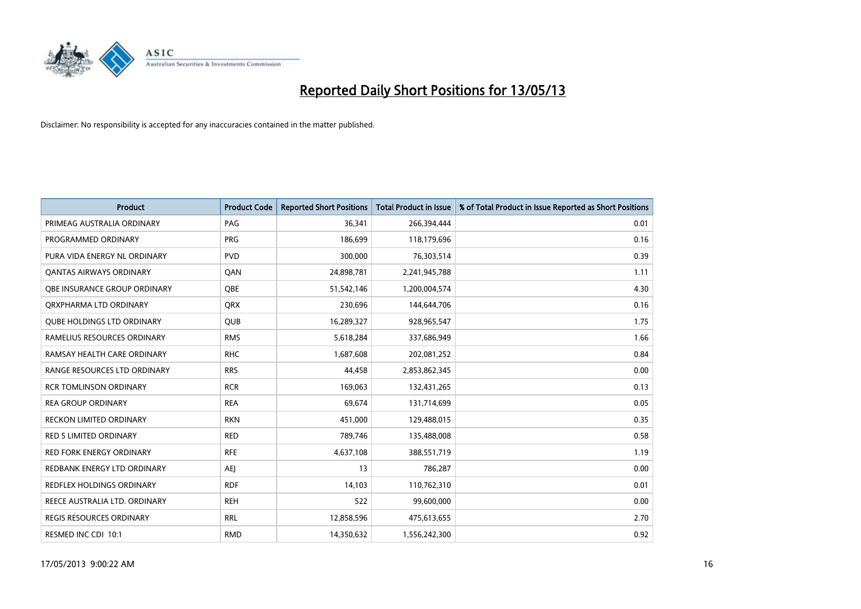

| <b>Product</b>                      | <b>Product Code</b> | <b>Reported Short Positions</b> | <b>Total Product in Issue</b> | % of Total Product in Issue Reported as Short Positions |
|-------------------------------------|---------------------|---------------------------------|-------------------------------|---------------------------------------------------------|
| PRIMEAG AUSTRALIA ORDINARY          | PAG                 | 36,341                          | 266,394,444                   | 0.01                                                    |
| PROGRAMMED ORDINARY                 | <b>PRG</b>          | 186,699                         | 118,179,696                   | 0.16                                                    |
| PURA VIDA ENERGY NL ORDINARY        | <b>PVD</b>          | 300,000                         | 76,303,514                    | 0.39                                                    |
| <b>QANTAS AIRWAYS ORDINARY</b>      | QAN                 | 24,898,781                      | 2,241,945,788                 | 1.11                                                    |
| <b>OBE INSURANCE GROUP ORDINARY</b> | <b>OBE</b>          | 51,542,146                      | 1,200,004,574                 | 4.30                                                    |
| ORXPHARMA LTD ORDINARY              | <b>ORX</b>          | 230,696                         | 144,644,706                   | 0.16                                                    |
| <b>QUBE HOLDINGS LTD ORDINARY</b>   | <b>QUB</b>          | 16,289,327                      | 928,965,547                   | 1.75                                                    |
| RAMELIUS RESOURCES ORDINARY         | <b>RMS</b>          | 5,618,284                       | 337,686,949                   | 1.66                                                    |
| RAMSAY HEALTH CARE ORDINARY         | <b>RHC</b>          | 1,687,608                       | 202,081,252                   | 0.84                                                    |
| RANGE RESOURCES LTD ORDINARY        | <b>RRS</b>          | 44,458                          | 2,853,862,345                 | 0.00                                                    |
| <b>RCR TOMLINSON ORDINARY</b>       | <b>RCR</b>          | 169,063                         | 132,431,265                   | 0.13                                                    |
| <b>REA GROUP ORDINARY</b>           | <b>REA</b>          | 69,674                          | 131,714,699                   | 0.05                                                    |
| RECKON LIMITED ORDINARY             | <b>RKN</b>          | 451,000                         | 129,488,015                   | 0.35                                                    |
| <b>RED 5 LIMITED ORDINARY</b>       | <b>RED</b>          | 789,746                         | 135,488,008                   | 0.58                                                    |
| <b>RED FORK ENERGY ORDINARY</b>     | <b>RFE</b>          | 4,637,108                       | 388,551,719                   | 1.19                                                    |
| REDBANK ENERGY LTD ORDINARY         | <b>AEI</b>          | 13                              | 786,287                       | 0.00                                                    |
| REDFLEX HOLDINGS ORDINARY           | <b>RDF</b>          | 14,103                          | 110,762,310                   | 0.01                                                    |
| REECE AUSTRALIA LTD. ORDINARY       | <b>REH</b>          | 522                             | 99,600,000                    | 0.00                                                    |
| REGIS RESOURCES ORDINARY            | <b>RRL</b>          | 12,858,596                      | 475,613,655                   | 2.70                                                    |
| RESMED INC CDI 10:1                 | <b>RMD</b>          | 14,350,632                      | 1,556,242,300                 | 0.92                                                    |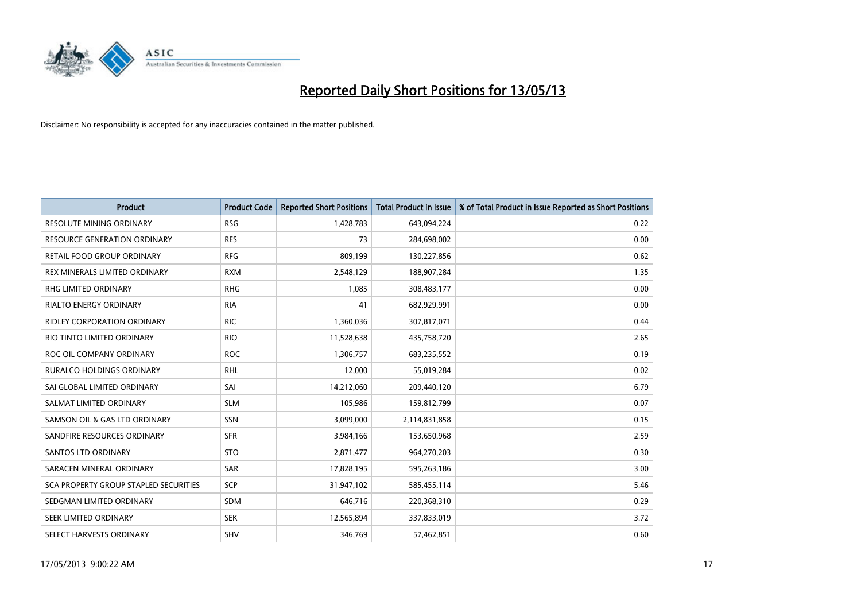

| <b>Product</b>                               | <b>Product Code</b> | <b>Reported Short Positions</b> | <b>Total Product in Issue</b> | % of Total Product in Issue Reported as Short Positions |
|----------------------------------------------|---------------------|---------------------------------|-------------------------------|---------------------------------------------------------|
| <b>RESOLUTE MINING ORDINARY</b>              | <b>RSG</b>          | 1,428,783                       | 643,094,224                   | 0.22                                                    |
| RESOURCE GENERATION ORDINARY                 | <b>RES</b>          | 73                              | 284,698,002                   | 0.00                                                    |
| RETAIL FOOD GROUP ORDINARY                   | <b>RFG</b>          | 809,199                         | 130,227,856                   | 0.62                                                    |
| REX MINERALS LIMITED ORDINARY                | <b>RXM</b>          | 2,548,129                       | 188,907,284                   | 1.35                                                    |
| <b>RHG LIMITED ORDINARY</b>                  | <b>RHG</b>          | 1.085                           | 308,483,177                   | 0.00                                                    |
| <b>RIALTO ENERGY ORDINARY</b>                | <b>RIA</b>          | 41                              | 682,929,991                   | 0.00                                                    |
| <b>RIDLEY CORPORATION ORDINARY</b>           | <b>RIC</b>          | 1,360,036                       | 307,817,071                   | 0.44                                                    |
| RIO TINTO LIMITED ORDINARY                   | <b>RIO</b>          | 11,528,638                      | 435,758,720                   | 2.65                                                    |
| ROC OIL COMPANY ORDINARY                     | <b>ROC</b>          | 1,306,757                       | 683,235,552                   | 0.19                                                    |
| <b>RURALCO HOLDINGS ORDINARY</b>             | <b>RHL</b>          | 12,000                          | 55,019,284                    | 0.02                                                    |
| SAI GLOBAL LIMITED ORDINARY                  | SAI                 | 14,212,060                      | 209,440,120                   | 6.79                                                    |
| SALMAT LIMITED ORDINARY                      | <b>SLM</b>          | 105,986                         | 159,812,799                   | 0.07                                                    |
| SAMSON OIL & GAS LTD ORDINARY                | <b>SSN</b>          | 3,099,000                       | 2,114,831,858                 | 0.15                                                    |
| SANDFIRE RESOURCES ORDINARY                  | <b>SFR</b>          | 3,984,166                       | 153,650,968                   | 2.59                                                    |
| <b>SANTOS LTD ORDINARY</b>                   | <b>STO</b>          | 2,871,477                       | 964,270,203                   | 0.30                                                    |
| SARACEN MINERAL ORDINARY                     | SAR                 | 17,828,195                      | 595,263,186                   | 3.00                                                    |
| <b>SCA PROPERTY GROUP STAPLED SECURITIES</b> | <b>SCP</b>          | 31,947,102                      | 585,455,114                   | 5.46                                                    |
| SEDGMAN LIMITED ORDINARY                     | <b>SDM</b>          | 646,716                         | 220,368,310                   | 0.29                                                    |
| SEEK LIMITED ORDINARY                        | <b>SEK</b>          | 12,565,894                      | 337,833,019                   | 3.72                                                    |
| SELECT HARVESTS ORDINARY                     | SHV                 | 346.769                         | 57.462.851                    | 0.60                                                    |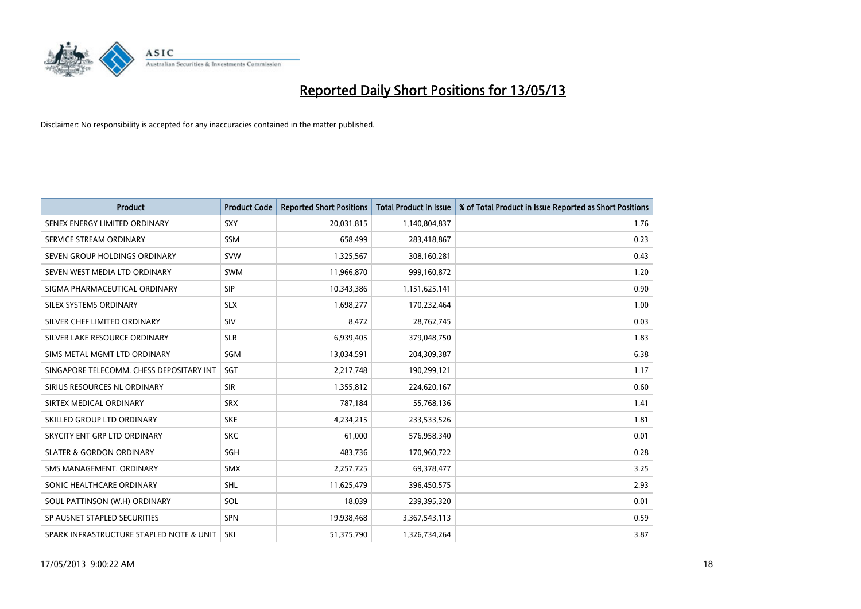

| <b>Product</b>                           | <b>Product Code</b> | <b>Reported Short Positions</b> | <b>Total Product in Issue</b> | % of Total Product in Issue Reported as Short Positions |
|------------------------------------------|---------------------|---------------------------------|-------------------------------|---------------------------------------------------------|
| SENEX ENERGY LIMITED ORDINARY            | <b>SXY</b>          | 20,031,815                      | 1,140,804,837                 | 1.76                                                    |
| SERVICE STREAM ORDINARY                  | <b>SSM</b>          | 658,499                         | 283,418,867                   | 0.23                                                    |
| SEVEN GROUP HOLDINGS ORDINARY            | <b>SVW</b>          | 1,325,567                       | 308,160,281                   | 0.43                                                    |
| SEVEN WEST MEDIA LTD ORDINARY            | <b>SWM</b>          | 11,966,870                      | 999,160,872                   | 1.20                                                    |
| SIGMA PHARMACEUTICAL ORDINARY            | <b>SIP</b>          | 10,343,386                      | 1,151,625,141                 | 0.90                                                    |
| SILEX SYSTEMS ORDINARY                   | <b>SLX</b>          | 1,698,277                       | 170,232,464                   | 1.00                                                    |
| SILVER CHEF LIMITED ORDINARY             | SIV                 | 8.472                           | 28,762,745                    | 0.03                                                    |
| SILVER LAKE RESOURCE ORDINARY            | <b>SLR</b>          | 6,939,405                       | 379,048,750                   | 1.83                                                    |
| SIMS METAL MGMT LTD ORDINARY             | SGM                 | 13,034,591                      | 204,309,387                   | 6.38                                                    |
| SINGAPORE TELECOMM. CHESS DEPOSITARY INT | SGT                 | 2,217,748                       | 190,299,121                   | 1.17                                                    |
| SIRIUS RESOURCES NL ORDINARY             | <b>SIR</b>          | 1,355,812                       | 224,620,167                   | 0.60                                                    |
| SIRTEX MEDICAL ORDINARY                  | <b>SRX</b>          | 787,184                         | 55,768,136                    | 1.41                                                    |
| SKILLED GROUP LTD ORDINARY               | <b>SKE</b>          | 4,234,215                       | 233,533,526                   | 1.81                                                    |
| SKYCITY ENT GRP LTD ORDINARY             | <b>SKC</b>          | 61,000                          | 576,958,340                   | 0.01                                                    |
| <b>SLATER &amp; GORDON ORDINARY</b>      | SGH                 | 483,736                         | 170,960,722                   | 0.28                                                    |
| SMS MANAGEMENT. ORDINARY                 | <b>SMX</b>          | 2,257,725                       | 69,378,477                    | 3.25                                                    |
| SONIC HEALTHCARE ORDINARY                | <b>SHL</b>          | 11,625,479                      | 396,450,575                   | 2.93                                                    |
| SOUL PATTINSON (W.H) ORDINARY            | SOL                 | 18,039                          | 239,395,320                   | 0.01                                                    |
| SP AUSNET STAPLED SECURITIES             | <b>SPN</b>          | 19,938,468                      | 3,367,543,113                 | 0.59                                                    |
| SPARK INFRASTRUCTURE STAPLED NOTE & UNIT | SKI                 | 51,375,790                      | 1,326,734,264                 | 3.87                                                    |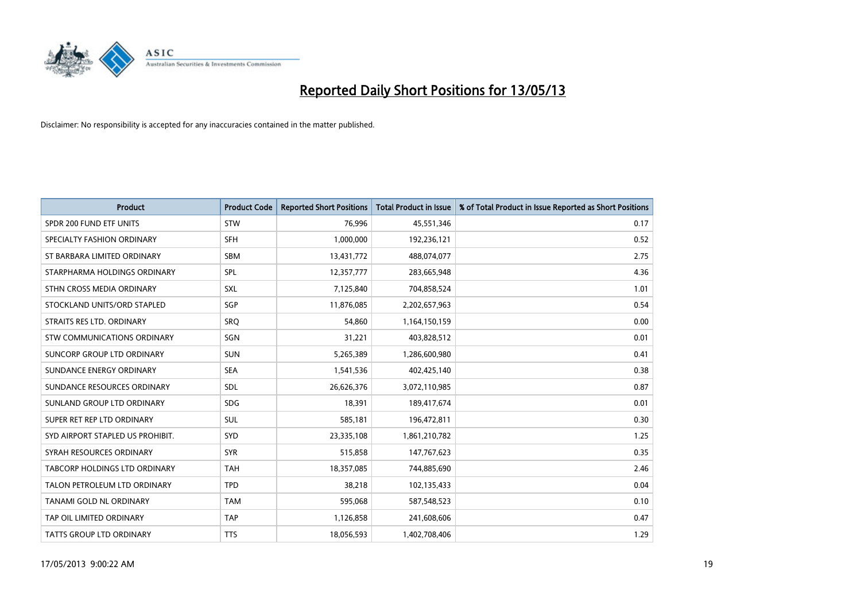

| <b>Product</b>                   | <b>Product Code</b> | <b>Reported Short Positions</b> | <b>Total Product in Issue</b> | % of Total Product in Issue Reported as Short Positions |
|----------------------------------|---------------------|---------------------------------|-------------------------------|---------------------------------------------------------|
| SPDR 200 FUND ETF UNITS          | <b>STW</b>          | 76,996                          | 45,551,346                    | 0.17                                                    |
| SPECIALTY FASHION ORDINARY       | <b>SFH</b>          | 1,000,000                       | 192,236,121                   | 0.52                                                    |
| ST BARBARA LIMITED ORDINARY      | <b>SBM</b>          | 13,431,772                      | 488,074,077                   | 2.75                                                    |
| STARPHARMA HOLDINGS ORDINARY     | <b>SPL</b>          | 12,357,777                      | 283,665,948                   | 4.36                                                    |
| STHN CROSS MEDIA ORDINARY        | <b>SXL</b>          | 7,125,840                       | 704,858,524                   | 1.01                                                    |
| STOCKLAND UNITS/ORD STAPLED      | SGP                 | 11,876,085                      | 2,202,657,963                 | 0.54                                                    |
| STRAITS RES LTD. ORDINARY        | SRO                 | 54,860                          | 1,164,150,159                 | 0.00                                                    |
| STW COMMUNICATIONS ORDINARY      | SGN                 | 31,221                          | 403,828,512                   | 0.01                                                    |
| SUNCORP GROUP LTD ORDINARY       | <b>SUN</b>          | 5,265,389                       | 1,286,600,980                 | 0.41                                                    |
| SUNDANCE ENERGY ORDINARY         | <b>SEA</b>          | 1,541,536                       | 402,425,140                   | 0.38                                                    |
| SUNDANCE RESOURCES ORDINARY      | <b>SDL</b>          | 26,626,376                      | 3,072,110,985                 | 0.87                                                    |
| SUNLAND GROUP LTD ORDINARY       | <b>SDG</b>          | 18,391                          | 189,417,674                   | 0.01                                                    |
| SUPER RET REP LTD ORDINARY       | <b>SUL</b>          | 585,181                         | 196,472,811                   | 0.30                                                    |
| SYD AIRPORT STAPLED US PROHIBIT. | <b>SYD</b>          | 23,335,108                      | 1,861,210,782                 | 1.25                                                    |
| SYRAH RESOURCES ORDINARY         | <b>SYR</b>          | 515,858                         | 147,767,623                   | 0.35                                                    |
| TABCORP HOLDINGS LTD ORDINARY    | <b>TAH</b>          | 18,357,085                      | 744,885,690                   | 2.46                                                    |
| TALON PETROLEUM LTD ORDINARY     | <b>TPD</b>          | 38,218                          | 102,135,433                   | 0.04                                                    |
| TANAMI GOLD NL ORDINARY          | <b>TAM</b>          | 595,068                         | 587,548,523                   | 0.10                                                    |
| TAP OIL LIMITED ORDINARY         | <b>TAP</b>          | 1,126,858                       | 241,608,606                   | 0.47                                                    |
| <b>TATTS GROUP LTD ORDINARY</b>  | <b>TTS</b>          | 18,056,593                      | 1,402,708,406                 | 1.29                                                    |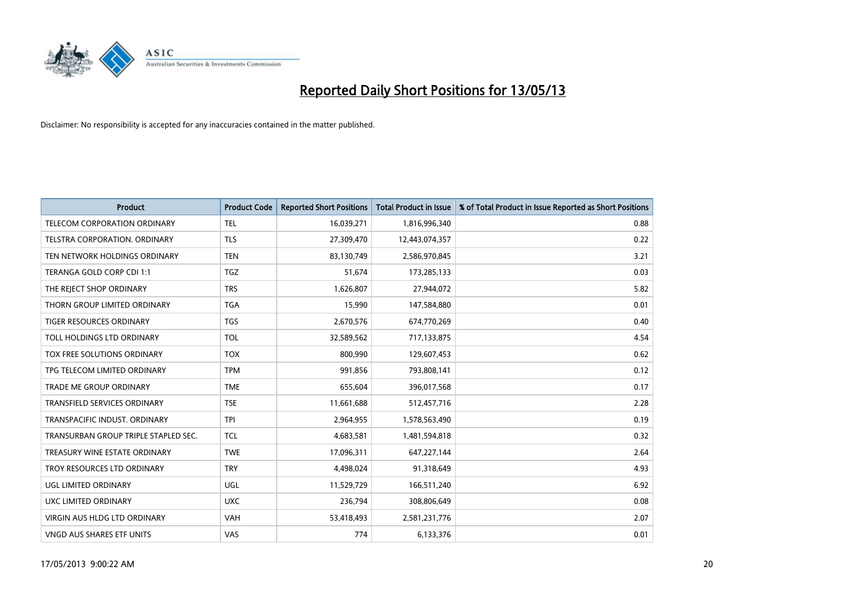

| <b>Product</b>                       | <b>Product Code</b> | <b>Reported Short Positions</b> | <b>Total Product in Issue</b> | % of Total Product in Issue Reported as Short Positions |
|--------------------------------------|---------------------|---------------------------------|-------------------------------|---------------------------------------------------------|
| <b>TELECOM CORPORATION ORDINARY</b>  | <b>TEL</b>          | 16,039,271                      | 1,816,996,340                 | 0.88                                                    |
| TELSTRA CORPORATION. ORDINARY        | <b>TLS</b>          | 27,309,470                      | 12,443,074,357                | 0.22                                                    |
| TEN NETWORK HOLDINGS ORDINARY        | <b>TEN</b>          | 83,130,749                      | 2,586,970,845                 | 3.21                                                    |
| TERANGA GOLD CORP CDI 1:1            | <b>TGZ</b>          | 51,674                          | 173,285,133                   | 0.03                                                    |
| THE REJECT SHOP ORDINARY             | <b>TRS</b>          | 1,626,807                       | 27,944,072                    | 5.82                                                    |
| THORN GROUP LIMITED ORDINARY         | <b>TGA</b>          | 15,990                          | 147,584,880                   | 0.01                                                    |
| TIGER RESOURCES ORDINARY             | <b>TGS</b>          | 2,670,576                       | 674,770,269                   | 0.40                                                    |
| TOLL HOLDINGS LTD ORDINARY           | <b>TOL</b>          | 32,589,562                      | 717,133,875                   | 4.54                                                    |
| <b>TOX FREE SOLUTIONS ORDINARY</b>   | <b>TOX</b>          | 800,990                         | 129,607,453                   | 0.62                                                    |
| TPG TELECOM LIMITED ORDINARY         | <b>TPM</b>          | 991,856                         | 793,808,141                   | 0.12                                                    |
| TRADE ME GROUP ORDINARY              | <b>TME</b>          | 655,604                         | 396,017,568                   | 0.17                                                    |
| <b>TRANSFIELD SERVICES ORDINARY</b>  | <b>TSE</b>          | 11,661,688                      | 512,457,716                   | 2.28                                                    |
| TRANSPACIFIC INDUST. ORDINARY        | <b>TPI</b>          | 2,964,955                       | 1,578,563,490                 | 0.19                                                    |
| TRANSURBAN GROUP TRIPLE STAPLED SEC. | <b>TCL</b>          | 4,683,581                       | 1,481,594,818                 | 0.32                                                    |
| TREASURY WINE ESTATE ORDINARY        | <b>TWE</b>          | 17,096,311                      | 647,227,144                   | 2.64                                                    |
| TROY RESOURCES LTD ORDINARY          | <b>TRY</b>          | 4,498,024                       | 91,318,649                    | 4.93                                                    |
| UGL LIMITED ORDINARY                 | UGL                 | 11,529,729                      | 166,511,240                   | 6.92                                                    |
| UXC LIMITED ORDINARY                 | <b>UXC</b>          | 236,794                         | 308,806,649                   | 0.08                                                    |
| VIRGIN AUS HLDG LTD ORDINARY         | <b>VAH</b>          | 53,418,493                      | 2,581,231,776                 | 2.07                                                    |
| VNGD AUS SHARES ETF UNITS            | VAS                 | 774                             | 6,133,376                     | 0.01                                                    |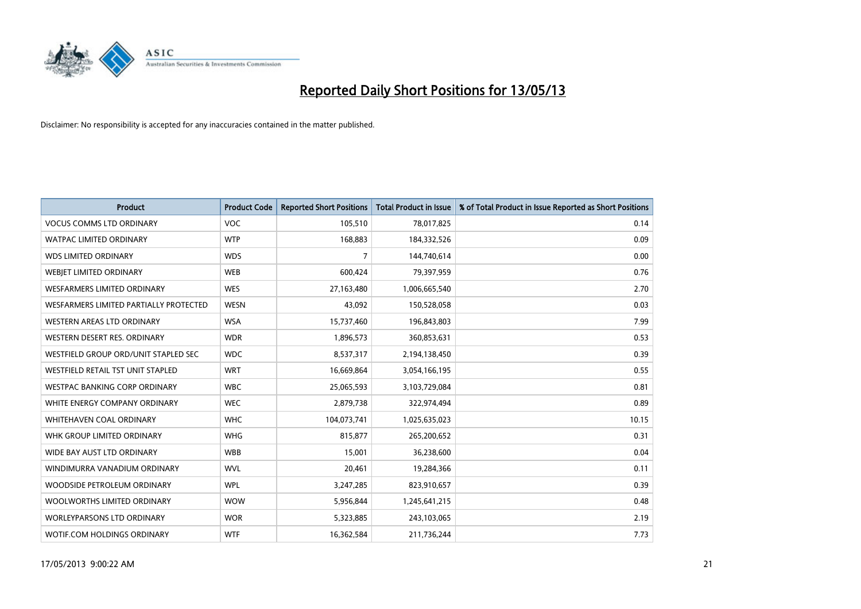

| <b>Product</b>                         | <b>Product Code</b> | <b>Reported Short Positions</b> | <b>Total Product in Issue</b> | % of Total Product in Issue Reported as Short Positions |
|----------------------------------------|---------------------|---------------------------------|-------------------------------|---------------------------------------------------------|
| <b>VOCUS COMMS LTD ORDINARY</b>        | <b>VOC</b>          | 105,510                         | 78,017,825                    | 0.14                                                    |
| <b>WATPAC LIMITED ORDINARY</b>         | <b>WTP</b>          | 168,883                         | 184,332,526                   | 0.09                                                    |
| <b>WDS LIMITED ORDINARY</b>            | <b>WDS</b>          | 7                               | 144,740,614                   | 0.00                                                    |
| WEBJET LIMITED ORDINARY                | <b>WEB</b>          | 600,424                         | 79,397,959                    | 0.76                                                    |
| <b>WESFARMERS LIMITED ORDINARY</b>     | <b>WES</b>          | 27,163,480                      | 1,006,665,540                 | 2.70                                                    |
| WESFARMERS LIMITED PARTIALLY PROTECTED | <b>WESN</b>         | 43.092                          | 150,528,058                   | 0.03                                                    |
| WESTERN AREAS LTD ORDINARY             | <b>WSA</b>          | 15,737,460                      | 196,843,803                   | 7.99                                                    |
| WESTERN DESERT RES. ORDINARY           | <b>WDR</b>          | 1,896,573                       | 360,853,631                   | 0.53                                                    |
| WESTFIELD GROUP ORD/UNIT STAPLED SEC   | <b>WDC</b>          | 8,537,317                       | 2,194,138,450                 | 0.39                                                    |
| WESTFIELD RETAIL TST UNIT STAPLED      | <b>WRT</b>          | 16,669,864                      | 3,054,166,195                 | 0.55                                                    |
| WESTPAC BANKING CORP ORDINARY          | <b>WBC</b>          | 25,065,593                      | 3,103,729,084                 | 0.81                                                    |
| WHITE ENERGY COMPANY ORDINARY          | <b>WEC</b>          | 2,879,738                       | 322,974,494                   | 0.89                                                    |
| WHITEHAVEN COAL ORDINARY               | <b>WHC</b>          | 104,073,741                     | 1,025,635,023                 | 10.15                                                   |
| WHK GROUP LIMITED ORDINARY             | <b>WHG</b>          | 815,877                         | 265,200,652                   | 0.31                                                    |
| WIDE BAY AUST LTD ORDINARY             | <b>WBB</b>          | 15,001                          | 36,238,600                    | 0.04                                                    |
| WINDIMURRA VANADIUM ORDINARY           | <b>WVL</b>          | 20,461                          | 19,284,366                    | 0.11                                                    |
| WOODSIDE PETROLEUM ORDINARY            | <b>WPL</b>          | 3,247,285                       | 823,910,657                   | 0.39                                                    |
| WOOLWORTHS LIMITED ORDINARY            | <b>WOW</b>          | 5,956,844                       | 1,245,641,215                 | 0.48                                                    |
| <b>WORLEYPARSONS LTD ORDINARY</b>      | <b>WOR</b>          | 5,323,885                       | 243,103,065                   | 2.19                                                    |
| WOTIF.COM HOLDINGS ORDINARY            | <b>WTF</b>          | 16,362,584                      | 211,736,244                   | 7.73                                                    |